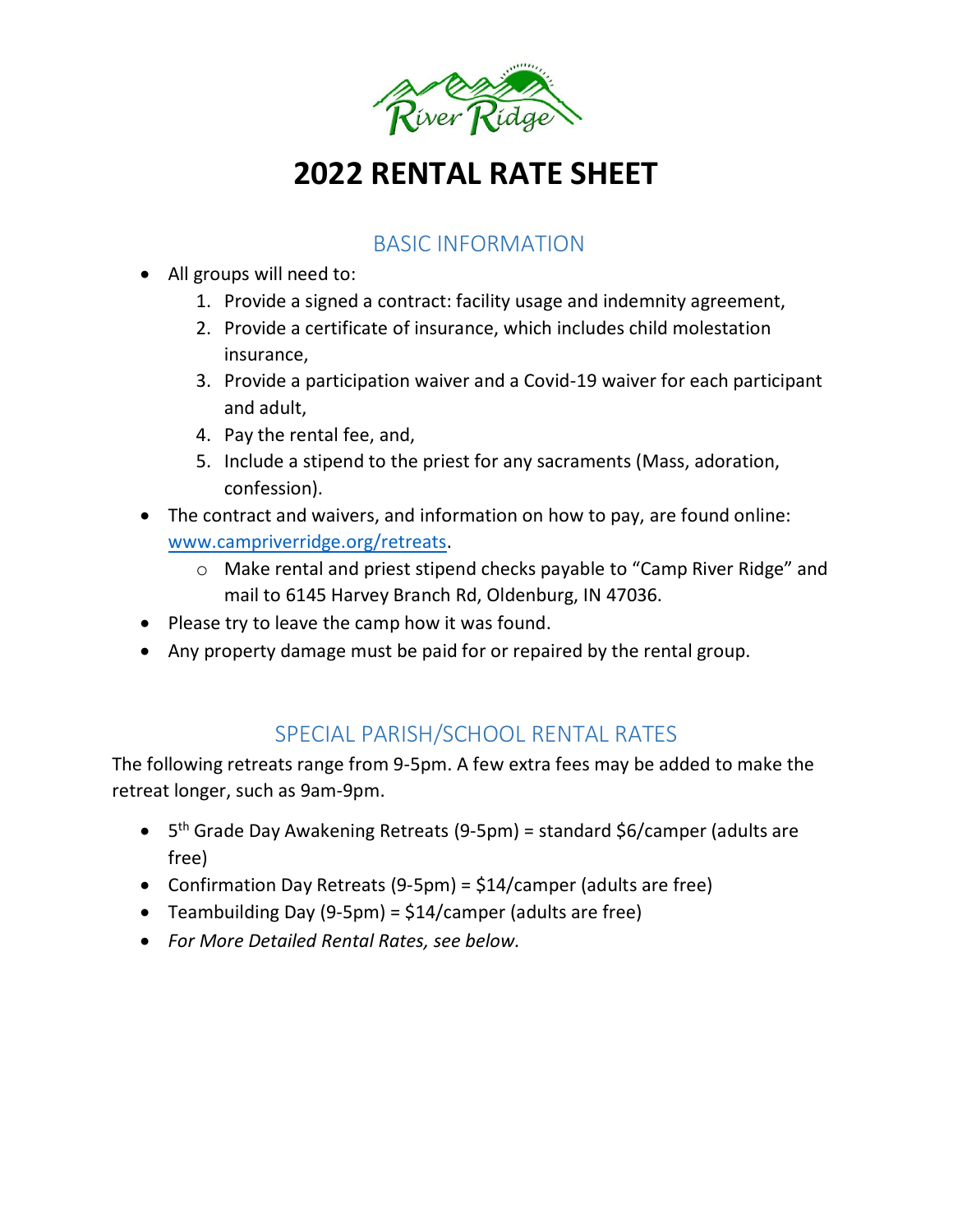

# **2022 RENTAL RATE SHEET**

## BASIC INFORMATION

- All groups will need to:
	- 1. Provide a signed a contract: facility usage and indemnity agreement,
	- 2. Provide a certificate of insurance, which includes child molestation insurance,
	- 3. Provide a participation waiver and a Covid-19 waiver for each participant and adult,
	- 4. Pay the rental fee, and,
	- 5. Include a stipend to the priest for any sacraments (Mass, adoration, confession).
- The contract and waivers, and information on how to pay, are found online: [www.campriverridge.org/retreats.](http://www.campriverridge.org/retreats)
	- o Make rental and priest stipend checks payable to "Camp River Ridge" and mail to 6145 Harvey Branch Rd, Oldenburg, IN 47036.
- Please try to leave the camp how it was found.
- Any property damage must be paid for or repaired by the rental group.

# SPECIAL PARISH/SCHOOL RENTAL RATES

The following retreats range from 9-5pm. A few extra fees may be added to make the retreat longer, such as 9am-9pm.

- 5<sup>th</sup> Grade Day Awakening Retreats (9-5pm) = standard \$6/camper (adults are free)
- Confirmation Day Retreats (9-5pm) = \$14/camper (adults are free)
- Teambuilding Day (9-5pm) = \$14/camper (adults are free)
- *For More Detailed Rental Rates, see below.*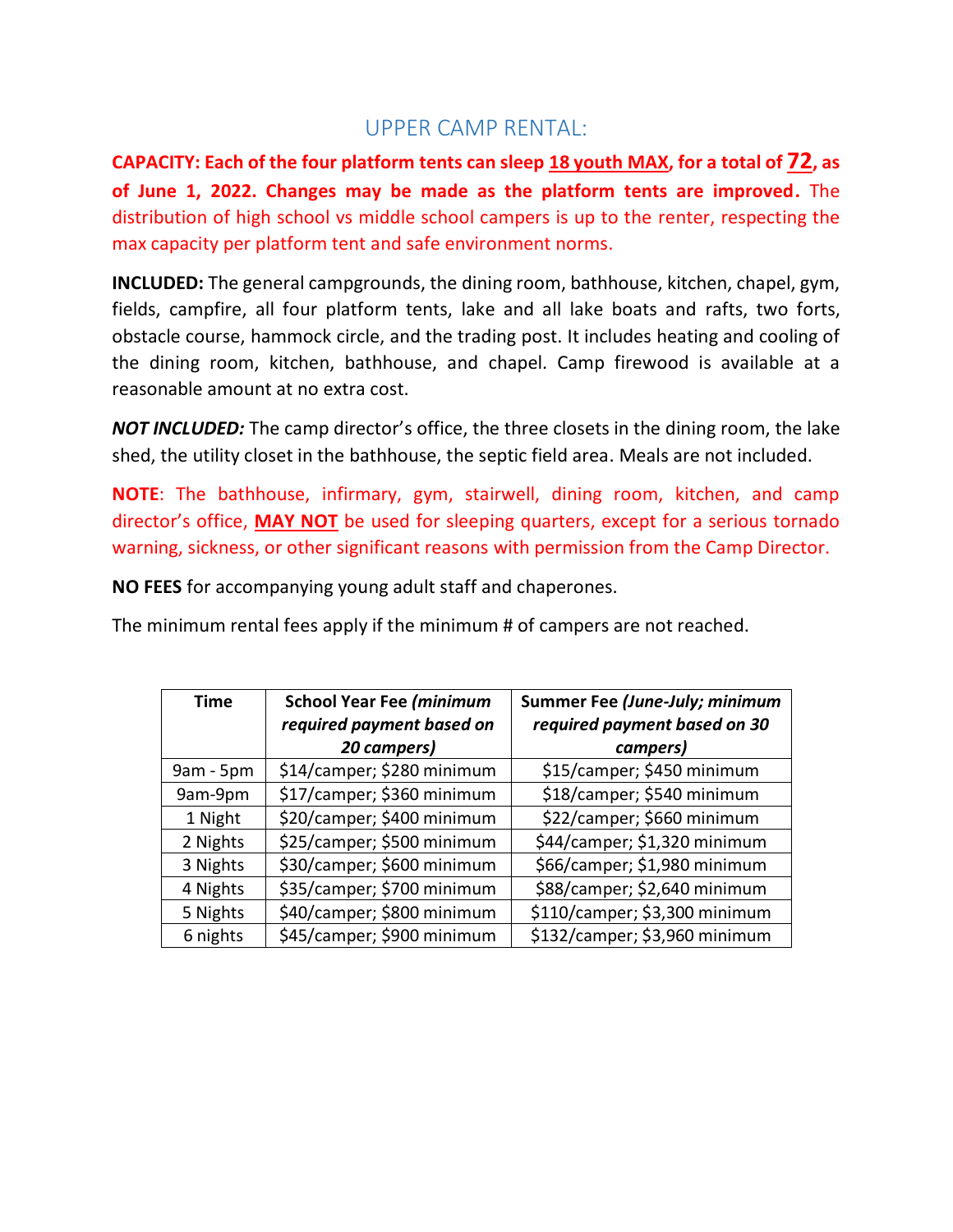### UPPER CAMP RENTAL:

**CAPACITY: Each of the four platform tents can sleep 18 youth MAX, for a total of 72, as of June 1, 2022. Changes may be made as the platform tents are improved.** The distribution of high school vs middle school campers is up to the renter, respecting the max capacity per platform tent and safe environment norms.

**INCLUDED:** The general campgrounds, the dining room, bathhouse, kitchen, chapel, gym, fields, campfire, all four platform tents, lake and all lake boats and rafts, two forts, obstacle course, hammock circle, and the trading post. It includes heating and cooling of the dining room, kitchen, bathhouse, and chapel. Camp firewood is available at a reasonable amount at no extra cost.

*NOT INCLUDED:* The camp director's office, the three closets in the dining room, the lake shed, the utility closet in the bathhouse, the septic field area. Meals are not included.

**NOTE**: The bathhouse, infirmary, gym, stairwell, dining room, kitchen, and camp director's office, **MAY NOT** be used for sleeping quarters, except for a serious tornado warning, sickness, or other significant reasons with permission from the Camp Director.

**NO FEES** for accompanying young adult staff and chaperones.

The minimum rental fees apply if the minimum # of campers are not reached.

| <b>Time</b> | <b>School Year Fee (minimum</b><br>required payment based on | Summer Fee (June-July; minimum<br>required payment based on 30 |  |
|-------------|--------------------------------------------------------------|----------------------------------------------------------------|--|
|             | 20 campers)                                                  | campers)                                                       |  |
| 9am - 5pm   | \$14/camper; \$280 minimum                                   | \$15/camper; \$450 minimum                                     |  |
| 9am-9pm     | \$17/camper; \$360 minimum                                   | \$18/camper; \$540 minimum                                     |  |
| 1 Night     | \$20/camper; \$400 minimum                                   | \$22/camper; \$660 minimum                                     |  |
| 2 Nights    | \$25/camper; \$500 minimum                                   | \$44/camper; \$1,320 minimum                                   |  |
| 3 Nights    | \$30/camper; \$600 minimum                                   | \$66/camper; \$1,980 minimum                                   |  |
| 4 Nights    | \$35/camper; \$700 minimum                                   | \$88/camper; \$2,640 minimum                                   |  |
| 5 Nights    | \$40/camper; \$800 minimum                                   | \$110/camper; \$3,300 minimum                                  |  |
| 6 nights    | \$45/camper; \$900 minimum                                   | \$132/camper; \$3,960 minimum                                  |  |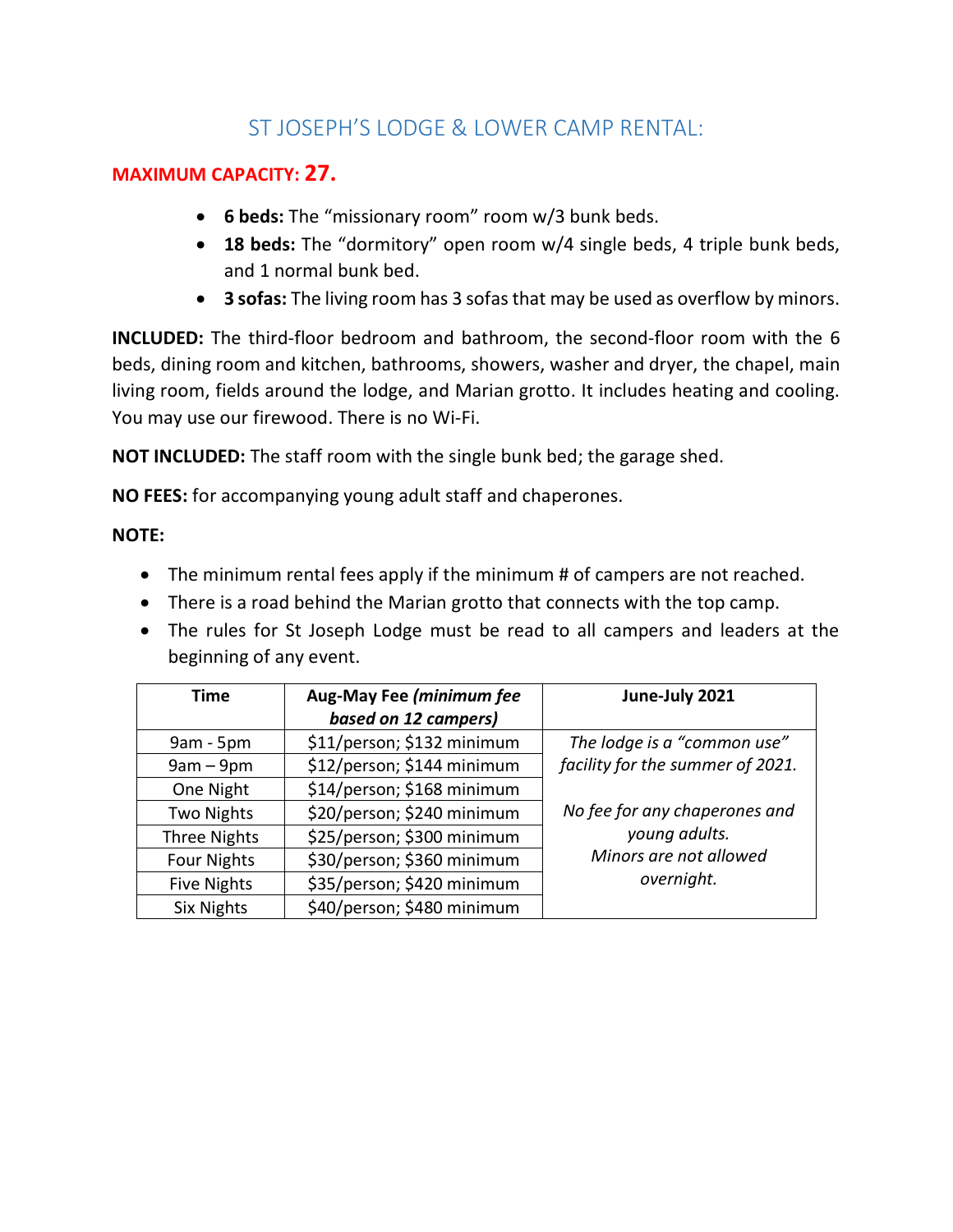# ST JOSEPH'S LODGE & LOWER CAMP RENTAL:

#### **MAXIMUM CAPACITY: 27.**

- **6 beds:** The "missionary room" room w/3 bunk beds.
- **18 beds:** The "dormitory" open room w/4 single beds, 4 triple bunk beds, and 1 normal bunk bed.
- **3 sofas:** The living room has 3 sofas that may be used as overflow by minors.

**INCLUDED:** The third-floor bedroom and bathroom, the second-floor room with the 6 beds, dining room and kitchen, bathrooms, showers, washer and dryer, the chapel, main living room, fields around the lodge, and Marian grotto. It includes heating and cooling. You may use our firewood. There is no Wi-Fi.

**NOT INCLUDED:** The staff room with the single bunk bed; the garage shed.

**NO FEES:** for accompanying young adult staff and chaperones.

#### **NOTE:**

- The minimum rental fees apply if the minimum # of campers are not reached.
- There is a road behind the Marian grotto that connects with the top camp.
- The rules for St Joseph Lodge must be read to all campers and leaders at the beginning of any event.

| <b>Time</b>         | Aug-May Fee (minimum fee   | June-July 2021                   |
|---------------------|----------------------------|----------------------------------|
|                     | based on 12 campers)       |                                  |
| $9am - 5pm$         | \$11/person; \$132 minimum | The lodge is a "common use"      |
| $9am - 9pm$         | \$12/person; \$144 minimum | facility for the summer of 2021. |
| One Night           | \$14/person; \$168 minimum |                                  |
| <b>Two Nights</b>   | \$20/person; \$240 minimum | No fee for any chaperones and    |
| <b>Three Nights</b> | \$25/person; \$300 minimum | young adults.                    |
| <b>Four Nights</b>  | \$30/person; \$360 minimum | Minors are not allowed           |
| <b>Five Nights</b>  | \$35/person; \$420 minimum | overnight.                       |
| <b>Six Nights</b>   | \$40/person; \$480 minimum |                                  |